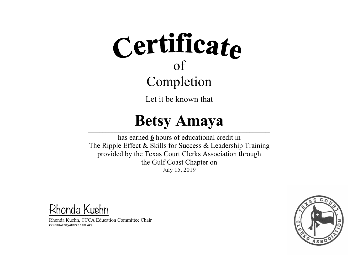Let it be known that

#### **Betsy Amaya**

 $\mathcal{L} = \{ \mathcal{L} = \{ \mathcal{L} = \{ \mathcal{L} = \{ \mathcal{L} = \{ \mathcal{L} = \{ \mathcal{L} = \{ \mathcal{L} = \{ \mathcal{L} = \{ \mathcal{L} = \{ \mathcal{L} = \{ \mathcal{L} = \{ \mathcal{L} = \{ \mathcal{L} = \{ \mathcal{L} = \{ \mathcal{L} = \{ \mathcal{L} = \{ \mathcal{L} = \{ \mathcal{L} = \{ \mathcal{L} = \{ \mathcal{L} = \{ \mathcal{L} = \{ \mathcal{L} = \{ \mathcal{L} = \{ \mathcal{$ has earned **6** hours of educational credit in The Ripple Effect & Skills for Success & Leadership Training provided by the Texas Court Clerks Association through the Gulf Coast Chapter on July 15, 2019

Rhonda Kuehn

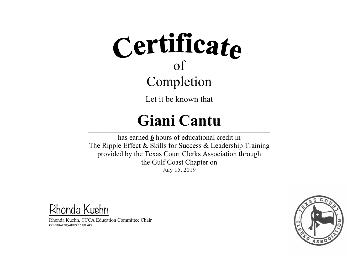Let it be known that

### **Giani Cantu**

 $\mathcal{L} = \{ \mathcal{L} = \{ \mathcal{L} = \{ \mathcal{L} = \{ \mathcal{L} = \{ \mathcal{L} = \{ \mathcal{L} = \{ \mathcal{L} = \{ \mathcal{L} = \{ \mathcal{L} = \{ \mathcal{L} = \{ \mathcal{L} = \{ \mathcal{L} = \{ \mathcal{L} = \{ \mathcal{L} = \{ \mathcal{L} = \{ \mathcal{L} = \{ \mathcal{L} = \{ \mathcal{L} = \{ \mathcal{L} = \{ \mathcal{L} = \{ \mathcal{L} = \{ \mathcal{L} = \{ \mathcal{L} = \{ \mathcal{$ has earned **6** hours of educational credit in The Ripple Effect & Skills for Success & Leadership Training provided by the Texas Court Clerks Association through the Gulf Coast Chapter on July 15, 2019

Rhonda Kuehn

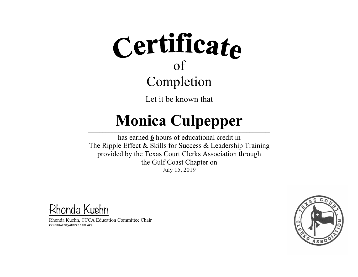Let it be known that

#### **Monica Culpepper**  $\mathcal{L} = \{ \mathcal{L} = \{ \mathcal{L} = \{ \mathcal{L} = \{ \mathcal{L} = \{ \mathcal{L} = \{ \mathcal{L} = \{ \mathcal{L} = \{ \mathcal{L} = \{ \mathcal{L} = \{ \mathcal{L} = \{ \mathcal{L} = \{ \mathcal{L} = \{ \mathcal{L} = \{ \mathcal{L} = \{ \mathcal{L} = \{ \mathcal{L} = \{ \mathcal{L} = \{ \mathcal{L} = \{ \mathcal{L} = \{ \mathcal{L} = \{ \mathcal{L} = \{ \mathcal{L} = \{ \mathcal{L} = \{ \mathcal{$

has earned **6** hours of educational credit in The Ripple Effect & Skills for Success & Leadership Training provided by the Texas Court Clerks Association through the Gulf Coast Chapter on July 15, 2019

Rhonda Kuehn

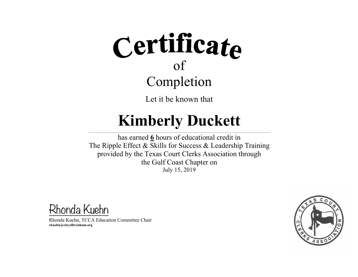Let it be known that

#### **Kimberly Duckett**

 $\mathcal{L} = \{ \mathcal{L} = \{ \mathcal{L} = \{ \mathcal{L} = \{ \mathcal{L} = \{ \mathcal{L} = \{ \mathcal{L} = \{ \mathcal{L} = \{ \mathcal{L} = \{ \mathcal{L} = \{ \mathcal{L} = \{ \mathcal{L} = \{ \mathcal{L} = \{ \mathcal{L} = \{ \mathcal{L} = \{ \mathcal{L} = \{ \mathcal{L} = \{ \mathcal{L} = \{ \mathcal{L} = \{ \mathcal{L} = \{ \mathcal{L} = \{ \mathcal{L} = \{ \mathcal{L} = \{ \mathcal{L} = \{ \mathcal{$ 

has earned **6** hours of educational credit in The Ripple Effect & Skills for Success & Leadership Training provided by the Texas Court Clerks Association through the Gulf Coast Chapter on July 15, 2019

Rhonda Kuehn

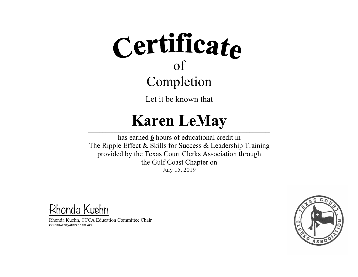Let it be known that

#### **Karen LeMay**

 $\mathcal{L} = \{ \mathcal{L} = \{ \mathcal{L} = \{ \mathcal{L} = \{ \mathcal{L} = \{ \mathcal{L} = \{ \mathcal{L} = \{ \mathcal{L} = \{ \mathcal{L} = \{ \mathcal{L} = \{ \mathcal{L} = \{ \mathcal{L} = \{ \mathcal{L} = \{ \mathcal{L} = \{ \mathcal{L} = \{ \mathcal{L} = \{ \mathcal{L} = \{ \mathcal{L} = \{ \mathcal{L} = \{ \mathcal{L} = \{ \mathcal{L} = \{ \mathcal{L} = \{ \mathcal{L} = \{ \mathcal{L} = \{ \mathcal{$ has earned **6** hours of educational credit in The Ripple Effect & Skills for Success & Leadership Training provided by the Texas Court Clerks Association through the Gulf Coast Chapter on July 15, 2019

Rhonda Kuehn

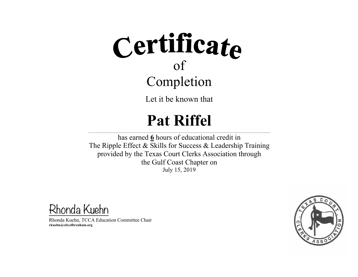Let it be known that

### **Pat Riffel**

 $\mathcal{L} = \{ \mathcal{L} = \{ \mathcal{L} = \{ \mathcal{L} = \{ \mathcal{L} = \{ \mathcal{L} = \{ \mathcal{L} = \{ \mathcal{L} = \{ \mathcal{L} = \{ \mathcal{L} = \{ \mathcal{L} = \{ \mathcal{L} = \{ \mathcal{L} = \{ \mathcal{L} = \{ \mathcal{L} = \{ \mathcal{L} = \{ \mathcal{L} = \{ \mathcal{L} = \{ \mathcal{L} = \{ \mathcal{L} = \{ \mathcal{L} = \{ \mathcal{L} = \{ \mathcal{L} = \{ \mathcal{L} = \{ \mathcal{$ has earned **6** hours of educational credit in The Ripple Effect & Skills for Success & Leadership Training provided by the Texas Court Clerks Association through the Gulf Coast Chapter on July 15, 2019

Rhonda Kuehn

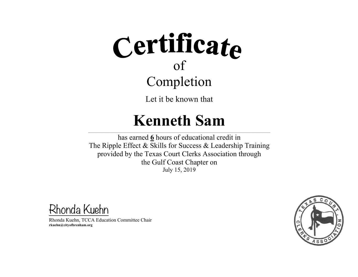Let it be known that

#### **Kenneth Sam**

 $\mathcal{L}_\text{max}$  and the contract of the contract of the contract of the contract of the contract of the contract of the contract of the contract of the contract of the contract of the contract of the contract of the contrac  $\mathcal{L}_\text{max}$  $\mathcal{L}_\text{max}$  and the contract of the contract of the contract of the contract of the contract of the contract of the contract of the contract of the contract of the contract of the contract of the contract of the contrac has earned **6** hours of educational credit in The Ripple Effect & Skills for Success & Leadership Training provided by the Texas Court Clerks Association through the Gulf Coast Chapter on July 15, 2019

Rhonda Kuehn

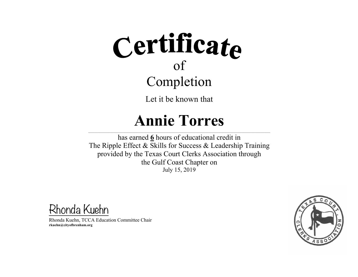Let it be known that

#### **Annie Torres**

 $\mathcal{L} = \{ \mathcal{L} = \{ \mathcal{L} = \{ \mathcal{L} = \{ \mathcal{L} = \{ \mathcal{L} = \{ \mathcal{L} = \{ \mathcal{L} = \{ \mathcal{L} = \{ \mathcal{L} = \{ \mathcal{L} = \{ \mathcal{L} = \{ \mathcal{L} = \{ \mathcal{L} = \{ \mathcal{L} = \{ \mathcal{L} = \{ \mathcal{L} = \{ \mathcal{L} = \{ \mathcal{L} = \{ \mathcal{L} = \{ \mathcal{L} = \{ \mathcal{L} = \{ \mathcal{L} = \{ \mathcal{L} = \{ \mathcal{$ has earned **6** hours of educational credit in The Ripple Effect & Skills for Success & Leadership Training provided by the Texas Court Clerks Association through the Gulf Coast Chapter on July 15, 2019

Rhonda Kuehn